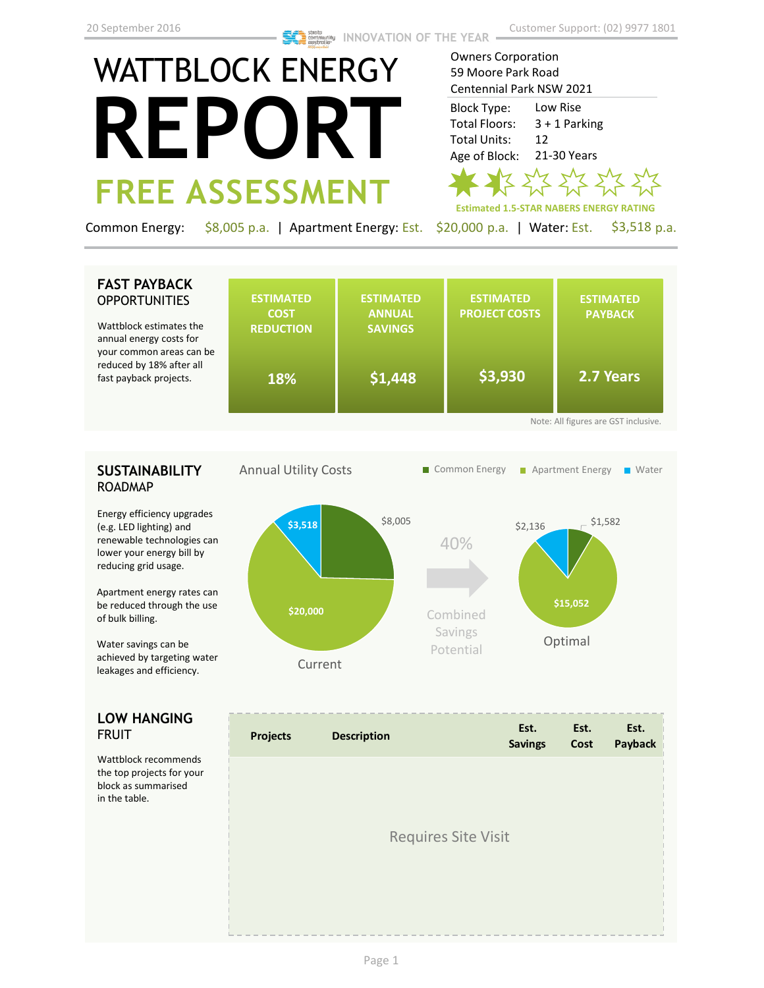# WATTBLOCK ENERGY **REPORT FREE ASSESSMENT**

Owners Corporation 59 Moore Park Road Centennial Park NSW 2021

Low Rise 3 + 1 Parking 12 21-30 Years Block Type: Total Floors: Total Units: Age of Block:



Common Energy: \$8,005 p.a. | Apartment Energy: Est. \$20,000 p.a. | Water: Est. \$3,518 p.a.

# **FAST PAYBACK OPPORTUNITIES**

Wattblock estimates the annual energy costs for your common areas can be reduced by 18% after all fast payback projects.

|    | <b>ESTIMATED</b><br><b>COST</b><br><b>REDUCTION</b> | <b>ESTIMATED</b><br><b>ANNUAL</b><br><b>SAVINGS</b> | <b>ESTIMATED</b><br><b>PROJECT COSTS</b> | <b>ESTIMATED</b><br><b>PAYBACK</b> |  |  |  |  |
|----|-----------------------------------------------------|-----------------------------------------------------|------------------------------------------|------------------------------------|--|--|--|--|
| be | 18%                                                 | \$1,448                                             | \$3,930                                  | 2.7 Years                          |  |  |  |  |
|    | Note: All figures are GST inclusive.                |                                                     |                                          |                                    |  |  |  |  |

# **SUSTAINABILITY** ROADMAP

Energy efficiency upgrades (e.g. LED lighting) and renewable technologies can lower your energy bill by reducing grid usage.

Apartment energy rates can be reduced through the use of bulk billing.

Water savings can be achieved by targeting water leakages and efficiency.

# **LOW HANGING**  FRUIT

Wattblock recommends the top projects for your block as summarised in the table.